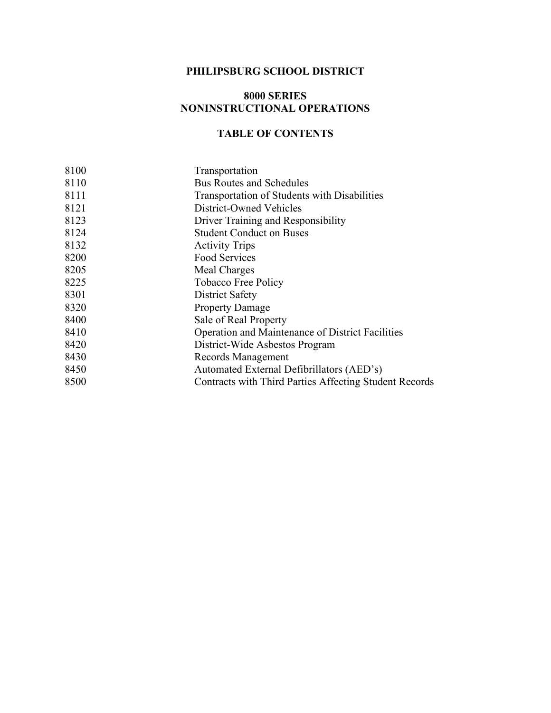# **PHILIPSBURG SCHOOL DISTRICT**

#### **8000 SERIES NONINSTRUCTIONAL OPERATIONS**

# **TABLE OF CONTENTS**

| 8100 | Transportation                                         |
|------|--------------------------------------------------------|
| 8110 | <b>Bus Routes and Schedules</b>                        |
| 8111 | Transportation of Students with Disabilities           |
| 8121 | District-Owned Vehicles                                |
| 8123 | Driver Training and Responsibility                     |
| 8124 | <b>Student Conduct on Buses</b>                        |
| 8132 | <b>Activity Trips</b>                                  |
| 8200 | Food Services                                          |
| 8205 | Meal Charges                                           |
| 8225 | Tobacco Free Policy                                    |
| 8301 | District Safety                                        |
| 8320 | <b>Property Damage</b>                                 |
| 8400 | Sale of Real Property                                  |
| 8410 | Operation and Maintenance of District Facilities       |
| 8420 | District-Wide Asbestos Program                         |
| 8430 | Records Management                                     |
| 8450 | Automated External Defibrillators (AED's)              |
| 8500 | Contracts with Third Parties Affecting Student Records |
|      |                                                        |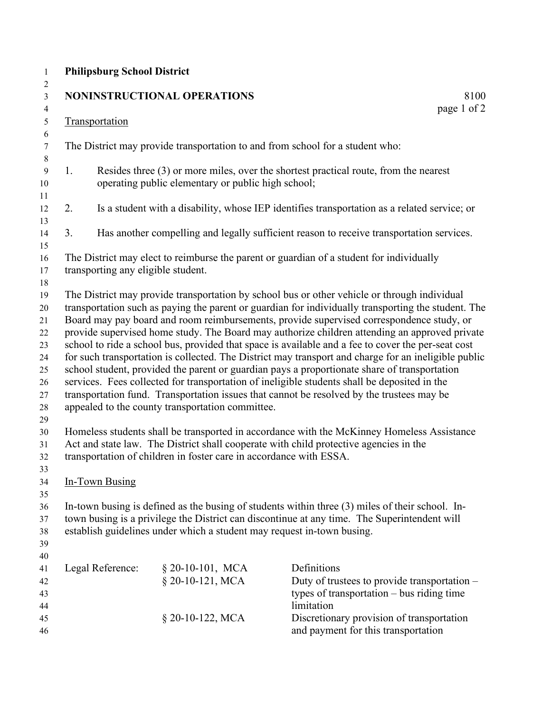# **Philipsburg School District**

|    | <b>Philipsburg School District</b> |                                                                        |                                                                                                                                                                                                                                                                                                                                                                                                                                                                                                                                                                                                                                                                                                                                                                                                                                                                                                                                                                                                    |
|----|------------------------------------|------------------------------------------------------------------------|----------------------------------------------------------------------------------------------------------------------------------------------------------------------------------------------------------------------------------------------------------------------------------------------------------------------------------------------------------------------------------------------------------------------------------------------------------------------------------------------------------------------------------------------------------------------------------------------------------------------------------------------------------------------------------------------------------------------------------------------------------------------------------------------------------------------------------------------------------------------------------------------------------------------------------------------------------------------------------------------------|
|    |                                    | NONINSTRUCTIONAL OPERATIONS                                            | 8100<br>page 1 of 2                                                                                                                                                                                                                                                                                                                                                                                                                                                                                                                                                                                                                                                                                                                                                                                                                                                                                                                                                                                |
|    | Transportation                     |                                                                        |                                                                                                                                                                                                                                                                                                                                                                                                                                                                                                                                                                                                                                                                                                                                                                                                                                                                                                                                                                                                    |
|    |                                    |                                                                        | The District may provide transportation to and from school for a student who:                                                                                                                                                                                                                                                                                                                                                                                                                                                                                                                                                                                                                                                                                                                                                                                                                                                                                                                      |
| 1. |                                    | operating public elementary or public high school;                     | Resides three (3) or more miles, over the shortest practical route, from the nearest                                                                                                                                                                                                                                                                                                                                                                                                                                                                                                                                                                                                                                                                                                                                                                                                                                                                                                               |
| 2. |                                    |                                                                        | Is a student with a disability, whose IEP identifies transportation as a related service; or                                                                                                                                                                                                                                                                                                                                                                                                                                                                                                                                                                                                                                                                                                                                                                                                                                                                                                       |
| 3. |                                    |                                                                        | Has another compelling and legally sufficient reason to receive transportation services.                                                                                                                                                                                                                                                                                                                                                                                                                                                                                                                                                                                                                                                                                                                                                                                                                                                                                                           |
|    | transporting any eligible student. |                                                                        | The District may elect to reimburse the parent or guardian of a student for individually                                                                                                                                                                                                                                                                                                                                                                                                                                                                                                                                                                                                                                                                                                                                                                                                                                                                                                           |
|    |                                    | appealed to the county transportation committee.                       | transportation such as paying the parent or guardian for individually transporting the student. The<br>Board may pay board and room reimbursements, provide supervised correspondence study, or<br>provide supervised home study. The Board may authorize children attending an approved private<br>school to ride a school bus, provided that space is available and a fee to cover the per-seat cost<br>for such transportation is collected. The District may transport and charge for an ineligible public<br>school student, provided the parent or guardian pays a proportionate share of transportation<br>services. Fees collected for transportation of ineligible students shall be deposited in the<br>transportation fund. Transportation issues that cannot be resolved by the trustees may be<br>Homeless students shall be transported in accordance with the McKinney Homeless Assistance<br>Act and state law. The District shall cooperate with child protective agencies in the |
|    |                                    | transportation of children in foster care in accordance with ESSA.     |                                                                                                                                                                                                                                                                                                                                                                                                                                                                                                                                                                                                                                                                                                                                                                                                                                                                                                                                                                                                    |
|    | In-Town Busing                     |                                                                        |                                                                                                                                                                                                                                                                                                                                                                                                                                                                                                                                                                                                                                                                                                                                                                                                                                                                                                                                                                                                    |
|    |                                    | establish guidelines under which a student may request in-town busing. | In-town busing is defined as the busing of students within three (3) miles of their school. In-<br>town busing is a privilege the District can discontinue at any time. The Superintendent will                                                                                                                                                                                                                                                                                                                                                                                                                                                                                                                                                                                                                                                                                                                                                                                                    |
|    | Legal Reference:                   | $§$ 20-10-101, MCA<br>§ 20-10-121, MCA                                 | Definitions<br>Duty of trustees to provide transportation -<br>types of transportation $-$ bus riding time<br>limitation                                                                                                                                                                                                                                                                                                                                                                                                                                                                                                                                                                                                                                                                                                                                                                                                                                                                           |
|    |                                    | § 20-10-122, MCA                                                       | Discretionary provision of transportation<br>and payment for this transportation                                                                                                                                                                                                                                                                                                                                                                                                                                                                                                                                                                                                                                                                                                                                                                                                                                                                                                                   |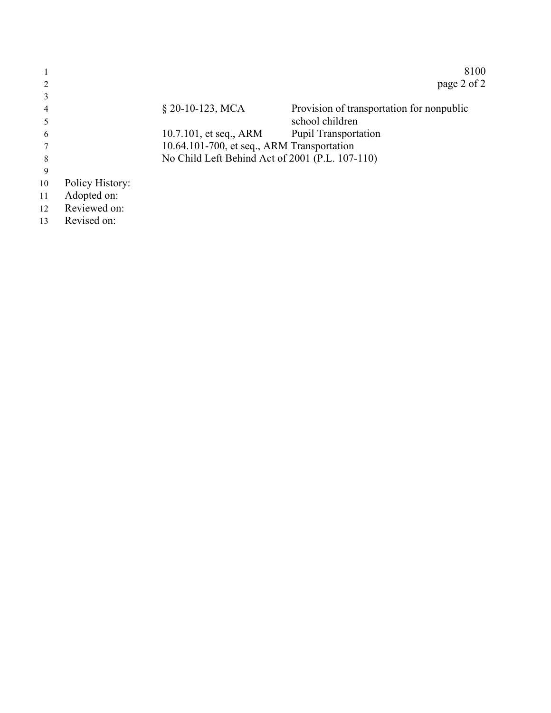|    |                 |                                                 | 8100                                      |
|----|-----------------|-------------------------------------------------|-------------------------------------------|
|    |                 |                                                 | page 2 of 2                               |
|    |                 |                                                 |                                           |
| 4  |                 | $§$ 20-10-123, MCA                              | Provision of transportation for nonpublic |
|    |                 |                                                 | school children                           |
| 6  |                 | 10.7.101, et seq., ARM                          | <b>Pupil Transportation</b>               |
|    |                 | 10.64.101-700, et seq., ARM Transportation      |                                           |
| 8  |                 | No Child Left Behind Act of 2001 (P.L. 107-110) |                                           |
| 9  |                 |                                                 |                                           |
| 10 | Policy History: |                                                 |                                           |
| 11 | Adopted on:     |                                                 |                                           |
| 12 | Reviewed on:    |                                                 |                                           |
| 13 | Revised on:     |                                                 |                                           |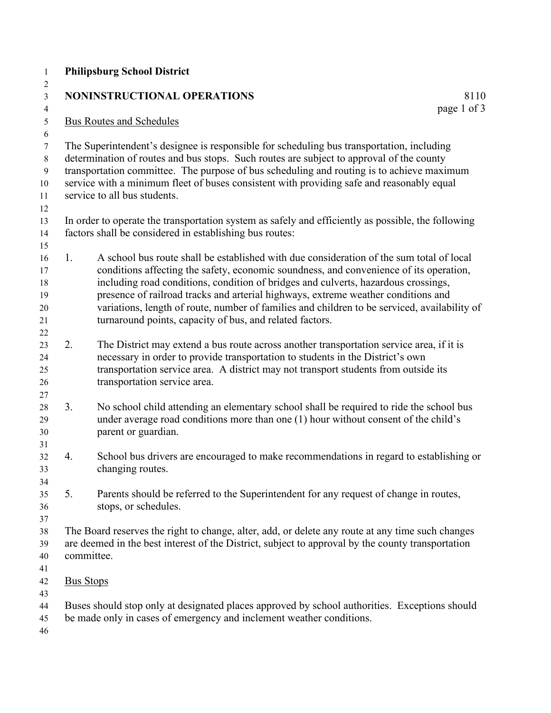|    | <b>Philipsburg School District</b>                                                                                                                                                                                                                                                                                                                                                                                                                                                                                        |
|----|---------------------------------------------------------------------------------------------------------------------------------------------------------------------------------------------------------------------------------------------------------------------------------------------------------------------------------------------------------------------------------------------------------------------------------------------------------------------------------------------------------------------------|
|    | NONINSTRUCTIONAL OPERATIONS<br>8110                                                                                                                                                                                                                                                                                                                                                                                                                                                                                       |
|    | page 1 of 3<br><b>Bus Routes and Schedules</b>                                                                                                                                                                                                                                                                                                                                                                                                                                                                            |
|    | The Superintendent's designee is responsible for scheduling bus transportation, including<br>determination of routes and bus stops. Such routes are subject to approval of the county<br>transportation committee. The purpose of bus scheduling and routing is to achieve maximum<br>service with a minimum fleet of buses consistent with providing safe and reasonably equal<br>service to all bus students.                                                                                                           |
|    | In order to operate the transportation system as safely and efficiently as possible, the following<br>factors shall be considered in establishing bus routes:                                                                                                                                                                                                                                                                                                                                                             |
| 1. | A school bus route shall be established with due consideration of the sum total of local<br>conditions affecting the safety, economic soundness, and convenience of its operation,<br>including road conditions, condition of bridges and culverts, hazardous crossings,<br>presence of railroad tracks and arterial highways, extreme weather conditions and<br>variations, length of route, number of families and children to be serviced, availability of<br>turnaround points, capacity of bus, and related factors. |
| 2. | The District may extend a bus route across another transportation service area, if it is<br>necessary in order to provide transportation to students in the District's own<br>transportation service area. A district may not transport students from outside its<br>transportation service area.                                                                                                                                                                                                                         |
| 3. | No school child attending an elementary school shall be required to ride the school bus<br>under average road conditions more than one (1) hour without consent of the child's<br>parent or guardian.                                                                                                                                                                                                                                                                                                                     |
| 4. | School bus drivers are encouraged to make recommendations in regard to establishing or<br>changing routes.                                                                                                                                                                                                                                                                                                                                                                                                                |
| 5. | Parents should be referred to the Superintendent for any request of change in routes,<br>stops, or schedules.                                                                                                                                                                                                                                                                                                                                                                                                             |
|    | The Board reserves the right to change, alter, add, or delete any route at any time such changes<br>are deemed in the best interest of the District, subject to approval by the county transportation<br>committee.                                                                                                                                                                                                                                                                                                       |
|    | <b>Bus Stops</b>                                                                                                                                                                                                                                                                                                                                                                                                                                                                                                          |
|    | Buses should stop only at designated places approved by school authorities. Exceptions should<br>be made only in cases of emergency and inclement weather conditions.                                                                                                                                                                                                                                                                                                                                                     |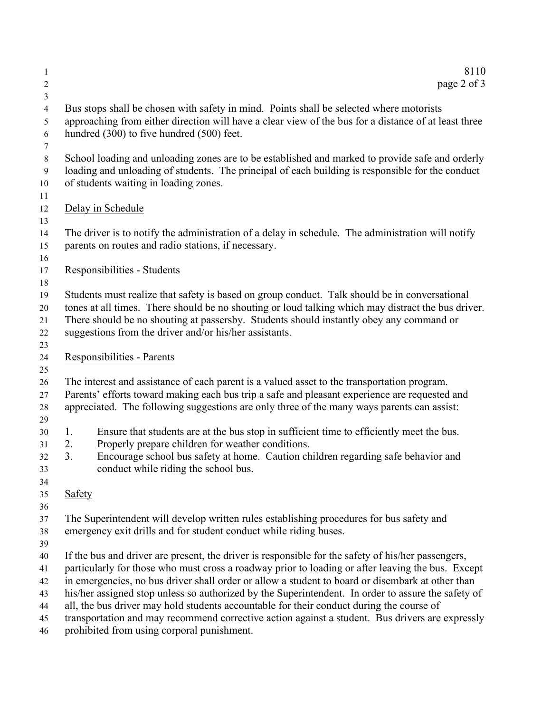| 1                                      | 8110                                                                                                                                                                                                                                                                                                                                                                                                                                                                                                                                                                                                                                                           |  |  |  |
|----------------------------------------|----------------------------------------------------------------------------------------------------------------------------------------------------------------------------------------------------------------------------------------------------------------------------------------------------------------------------------------------------------------------------------------------------------------------------------------------------------------------------------------------------------------------------------------------------------------------------------------------------------------------------------------------------------------|--|--|--|
| 2                                      | page 2 of 3                                                                                                                                                                                                                                                                                                                                                                                                                                                                                                                                                                                                                                                    |  |  |  |
| 3<br>$\overline{4}$<br>5<br>6<br>7     | Bus stops shall be chosen with safety in mind. Points shall be selected where motorists<br>approaching from either direction will have a clear view of the bus for a distance of at least three<br>hundred (300) to five hundred (500) feet.                                                                                                                                                                                                                                                                                                                                                                                                                   |  |  |  |
| 8<br>$\overline{9}$<br>10<br>11        | School loading and unloading zones are to be established and marked to provide safe and orderly<br>loading and unloading of students. The principal of each building is responsible for the conduct<br>of students waiting in loading zones.                                                                                                                                                                                                                                                                                                                                                                                                                   |  |  |  |
| 12<br>13                               | Delay in Schedule                                                                                                                                                                                                                                                                                                                                                                                                                                                                                                                                                                                                                                              |  |  |  |
| 14<br>15<br>16                         | The driver is to notify the administration of a delay in schedule. The administration will notify<br>parents on routes and radio stations, if necessary.                                                                                                                                                                                                                                                                                                                                                                                                                                                                                                       |  |  |  |
| 17<br>18                               | Responsibilities - Students                                                                                                                                                                                                                                                                                                                                                                                                                                                                                                                                                                                                                                    |  |  |  |
| 19<br>20<br>21<br>22<br>23             | Students must realize that safety is based on group conduct. Talk should be in conversational<br>tones at all times. There should be no shouting or loud talking which may distract the bus driver.<br>There should be no shouting at passersby. Students should instantly obey any command or<br>suggestions from the driver and/or his/her assistants.                                                                                                                                                                                                                                                                                                       |  |  |  |
| 24<br>25                               | Responsibilities - Parents                                                                                                                                                                                                                                                                                                                                                                                                                                                                                                                                                                                                                                     |  |  |  |
| 26<br>27<br>28<br>29                   | The interest and assistance of each parent is a valued asset to the transportation program.<br>Parents' efforts toward making each bus trip a safe and pleasant experience are requested and<br>appreciated. The following suggestions are only three of the many ways parents can assist:                                                                                                                                                                                                                                                                                                                                                                     |  |  |  |
| 30<br>31<br>32<br>33                   | Ensure that students are at the bus stop in sufficient time to efficiently meet the bus.<br>1.<br>Properly prepare children for weather conditions.<br>2.<br>Encourage school bus safety at home. Caution children regarding safe behavior and<br>3.<br>conduct while riding the school bus.                                                                                                                                                                                                                                                                                                                                                                   |  |  |  |
| 34<br>35<br>36                         | <b>Safety</b>                                                                                                                                                                                                                                                                                                                                                                                                                                                                                                                                                                                                                                                  |  |  |  |
| 37<br>38<br>39                         | The Superintendent will develop written rules establishing procedures for bus safety and<br>emergency exit drills and for student conduct while riding buses.                                                                                                                                                                                                                                                                                                                                                                                                                                                                                                  |  |  |  |
| 40<br>41<br>42<br>43<br>44<br>45<br>46 | If the bus and driver are present, the driver is responsible for the safety of his/her passengers,<br>particularly for those who must cross a roadway prior to loading or after leaving the bus. Except<br>in emergencies, no bus driver shall order or allow a student to board or disembark at other than<br>his/her assigned stop unless so authorized by the Superintendent. In order to assure the safety of<br>all, the bus driver may hold students accountable for their conduct during the course of<br>transportation and may recommend corrective action against a student. Bus drivers are expressly<br>prohibited from using corporal punishment. |  |  |  |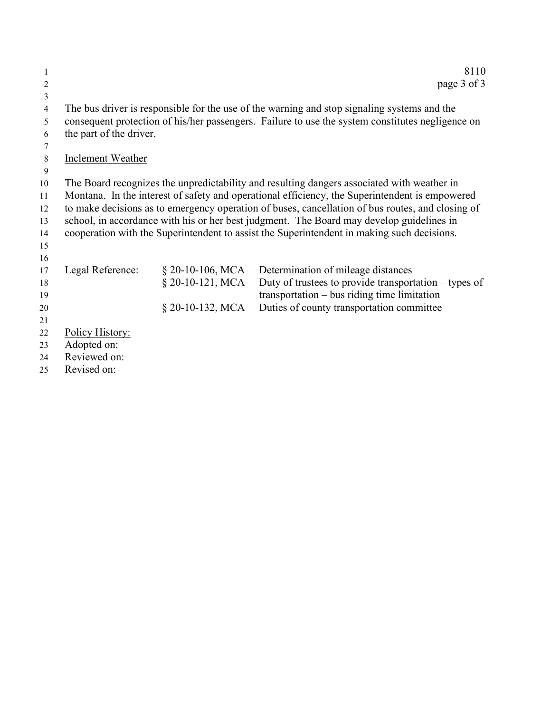| 1              |                         |                    | 8110                                                                                                                                                                                         |
|----------------|-------------------------|--------------------|----------------------------------------------------------------------------------------------------------------------------------------------------------------------------------------------|
| 2              |                         |                    | page 3 of 3                                                                                                                                                                                  |
| $\mathfrak{Z}$ |                         |                    |                                                                                                                                                                                              |
| $\overline{4}$ |                         |                    | The bus driver is responsible for the use of the warning and stop signaling systems and the                                                                                                  |
| 5              |                         |                    | consequent protection of his/her passengers. Failure to use the system constitutes negligence on                                                                                             |
| 6              | the part of the driver. |                    |                                                                                                                                                                                              |
| 7              |                         |                    |                                                                                                                                                                                              |
| 8              | Inclement Weather       |                    |                                                                                                                                                                                              |
| 9              |                         |                    |                                                                                                                                                                                              |
| 10             |                         |                    | The Board recognizes the unpredictability and resulting dangers associated with weather in                                                                                                   |
| 11             |                         |                    | Montana. In the interest of safety and operational efficiency, the Superintendent is empowered                                                                                               |
| 12<br>13       |                         |                    | to make decisions as to emergency operation of buses, cancellation of bus routes, and closing of<br>school, in accordance with his or her best judgment. The Board may develop guidelines in |
| 14             |                         |                    | cooperation with the Superintendent to assist the Superintendent in making such decisions.                                                                                                   |
| 15             |                         |                    |                                                                                                                                                                                              |
| 16             |                         |                    |                                                                                                                                                                                              |
| 17             | Legal Reference:        | $§$ 20-10-106, MCA | Determination of mileage distances                                                                                                                                                           |
| 18             |                         | $§$ 20-10-121, MCA | Duty of trustees to provide transportation $-$ types of                                                                                                                                      |
| 19             |                         |                    | $transportation - bus riding time limitation$                                                                                                                                                |
| 20             |                         | $§$ 20-10-132, MCA | Duties of county transportation committee                                                                                                                                                    |
| 21             |                         |                    |                                                                                                                                                                                              |
| 22             | Policy History:         |                    |                                                                                                                                                                                              |
| 23             | Adopted on:             |                    |                                                                                                                                                                                              |
| 24             | Reviewed on:            |                    |                                                                                                                                                                                              |
| 25             | Revised on:             |                    |                                                                                                                                                                                              |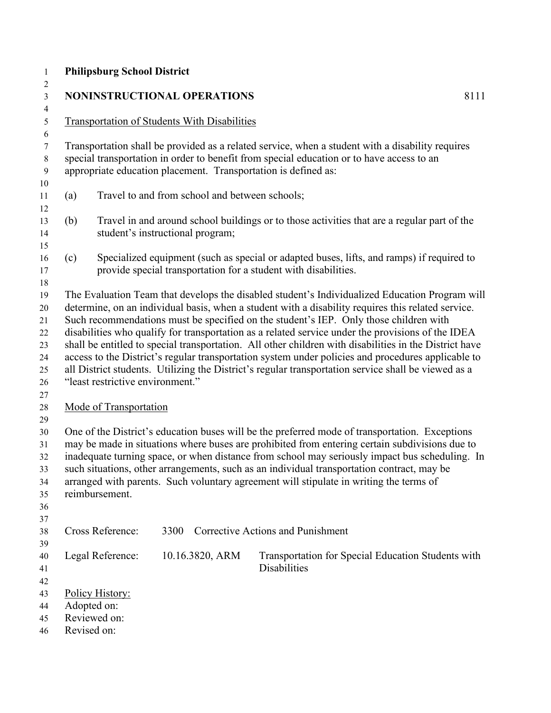|     |                                                               | <b>NONINSTRUCTIONAL OPERATIONS</b>                             | 8111                                                                                                                                                                                                                                                                                                                                                                                                                                                                                                                                                                                                                    |
|-----|---------------------------------------------------------------|----------------------------------------------------------------|-------------------------------------------------------------------------------------------------------------------------------------------------------------------------------------------------------------------------------------------------------------------------------------------------------------------------------------------------------------------------------------------------------------------------------------------------------------------------------------------------------------------------------------------------------------------------------------------------------------------------|
|     |                                                               | <b>Transportation of Students With Disabilities</b>            |                                                                                                                                                                                                                                                                                                                                                                                                                                                                                                                                                                                                                         |
|     |                                                               | appropriate education placement. Transportation is defined as: | Transportation shall be provided as a related service, when a student with a disability requires<br>special transportation in order to benefit from special education or to have access to an                                                                                                                                                                                                                                                                                                                                                                                                                           |
| (a) |                                                               | Travel to and from school and between schools;                 |                                                                                                                                                                                                                                                                                                                                                                                                                                                                                                                                                                                                                         |
| (b) |                                                               | student's instructional program;                               | Travel in and around school buildings or to those activities that are a regular part of the                                                                                                                                                                                                                                                                                                                                                                                                                                                                                                                             |
| (c) |                                                               |                                                                | Specialized equipment (such as special or adapted buses, lifts, and ramps) if required to<br>provide special transportation for a student with disabilities.                                                                                                                                                                                                                                                                                                                                                                                                                                                            |
|     | "least restrictive environment."                              |                                                                | determine, on an individual basis, when a student with a disability requires this related service.<br>Such recommendations must be specified on the student's IEP. Only those children with<br>disabilities who qualify for transportation as a related service under the provisions of the IDEA<br>shall be entitled to special transportation. All other children with disabilities in the District have<br>access to the District's regular transportation system under policies and procedures applicable to<br>all District students. Utilizing the District's regular transportation service shall be viewed as a |
|     | Mode of Transportation                                        |                                                                |                                                                                                                                                                                                                                                                                                                                                                                                                                                                                                                                                                                                                         |
|     | reimbursement.                                                |                                                                | One of the District's education buses will be the preferred mode of transportation. Exceptions<br>may be made in situations where buses are prohibited from entering certain subdivisions due to<br>inadequate turning space, or when distance from school may seriously impact bus scheduling. In<br>such situations, other arrangements, such as an individual transportation contract, may be<br>arranged with parents. Such voluntary agreement will stipulate in writing the terms of                                                                                                                              |
|     | Cross Reference:                                              | 3300                                                           | <b>Corrective Actions and Punishment</b>                                                                                                                                                                                                                                                                                                                                                                                                                                                                                                                                                                                |
|     | Legal Reference:                                              | 10.16.3820, ARM                                                | Transportation for Special Education Students with<br><b>Disabilities</b>                                                                                                                                                                                                                                                                                                                                                                                                                                                                                                                                               |
|     | Policy History:<br>Adopted on:<br>Reviewed on:<br>Revised on: |                                                                |                                                                                                                                                                                                                                                                                                                                                                                                                                                                                                                                                                                                                         |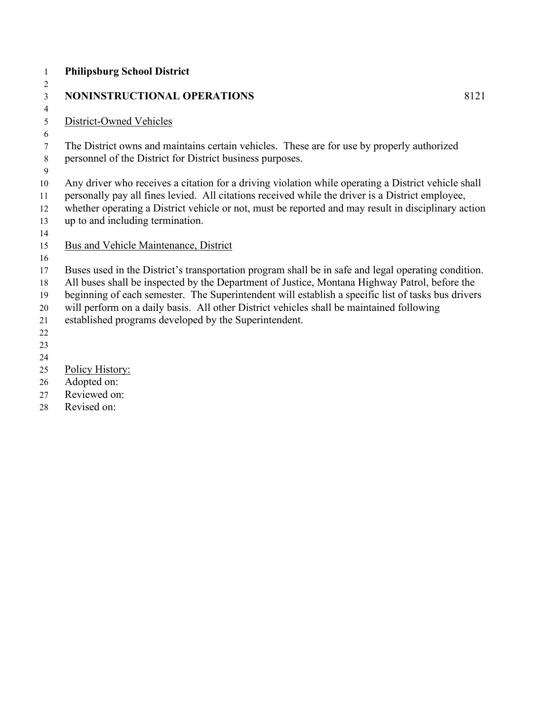#### **Philipsburg School District** 3 NONINSTRUCTIONAL OPERATIONS 8121 District-Owned Vehicles

 The District owns and maintains certain vehicles. These are for use by properly authorized personnel of the District for District business purposes.

Any driver who receives a citation for a driving violation while operating a District vehicle shall

- personally pay all fines levied. All citations received while the driver is a District employee,
- whether operating a District vehicle or not, must be reported and may result in disciplinary action up to and including termination.
- 
- Bus and Vehicle Maintenance, District
- 

Buses used in the District's transportation program shall be in safe and legal operating condition.

All buses shall be inspected by the Department of Justice, Montana Highway Patrol, before the

beginning of each semester. The Superintendent will establish a specific list of tasks bus drivers

will perform on a daily basis. All other District vehicles shall be maintained following

established programs developed by the Superintendent.

- Policy History:
- Adopted on:
- Reviewed on:

Revised on: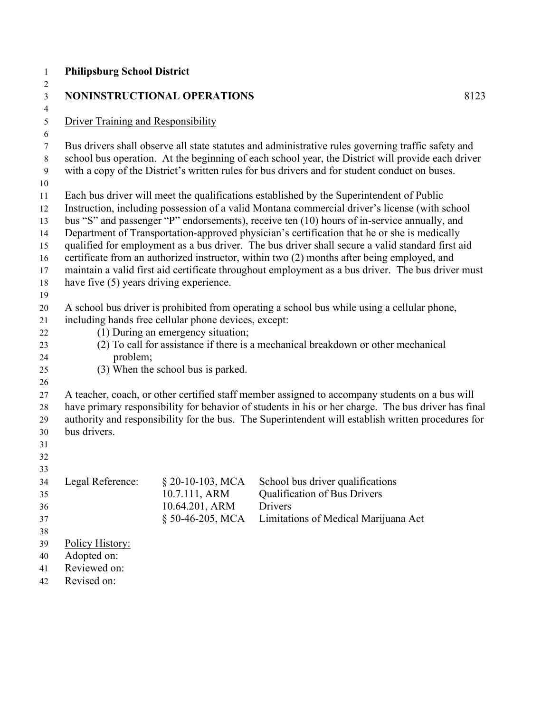#### **Philipsburg School District**  $\frac{1}{2}$

| Z<br>$\mathfrak{Z}$              |                                           | NONINSTRUCTIONAL OPERATIONS                          |                                                                                                                                                                                                                                                                                                          | 8123 |  |
|----------------------------------|-------------------------------------------|------------------------------------------------------|----------------------------------------------------------------------------------------------------------------------------------------------------------------------------------------------------------------------------------------------------------------------------------------------------------|------|--|
| $\overline{4}$<br>$\mathfrak{S}$ | <b>Driver Training and Responsibility</b> |                                                      |                                                                                                                                                                                                                                                                                                          |      |  |
| 6                                |                                           |                                                      |                                                                                                                                                                                                                                                                                                          |      |  |
| $\tau$<br>8<br>9                 |                                           |                                                      | Bus drivers shall observe all state statutes and administrative rules governing traffic safety and<br>school bus operation. At the beginning of each school year, the District will provide each driver<br>with a copy of the District's written rules for bus drivers and for student conduct on buses. |      |  |
| 10                               |                                           |                                                      |                                                                                                                                                                                                                                                                                                          |      |  |
| 11<br>12                         |                                           |                                                      | Each bus driver will meet the qualifications established by the Superintendent of Public<br>Instruction, including possession of a valid Montana commercial driver's license (with school                                                                                                                |      |  |
| 13                               |                                           |                                                      | bus "S" and passenger "P" endorsements), receive ten (10) hours of in-service annually, and                                                                                                                                                                                                              |      |  |
| 14                               |                                           |                                                      | Department of Transportation-approved physician's certification that he or she is medically                                                                                                                                                                                                              |      |  |
| 15                               |                                           |                                                      | qualified for employment as a bus driver. The bus driver shall secure a valid standard first aid                                                                                                                                                                                                         |      |  |
| 16                               |                                           |                                                      | certificate from an authorized instructor, within two (2) months after being employed, and                                                                                                                                                                                                               |      |  |
| 17                               |                                           |                                                      | maintain a valid first aid certificate throughout employment as a bus driver. The bus driver must                                                                                                                                                                                                        |      |  |
| 18                               | have five (5) years driving experience.   |                                                      |                                                                                                                                                                                                                                                                                                          |      |  |
| 19                               |                                           |                                                      |                                                                                                                                                                                                                                                                                                          |      |  |
| 20                               |                                           |                                                      | A school bus driver is prohibited from operating a school bus while using a cellular phone,                                                                                                                                                                                                              |      |  |
| 21                               |                                           | including hands free cellular phone devices, except: |                                                                                                                                                                                                                                                                                                          |      |  |
| 22                               |                                           | (1) During an emergency situation;                   |                                                                                                                                                                                                                                                                                                          |      |  |
| 23                               |                                           |                                                      | (2) To call for assistance if there is a mechanical breakdown or other mechanical                                                                                                                                                                                                                        |      |  |
| 24                               | problem;                                  |                                                      |                                                                                                                                                                                                                                                                                                          |      |  |
| 25                               |                                           | (3) When the school bus is parked.                   |                                                                                                                                                                                                                                                                                                          |      |  |
| 26                               |                                           |                                                      |                                                                                                                                                                                                                                                                                                          |      |  |
| 27                               |                                           |                                                      | A teacher, coach, or other certified staff member assigned to accompany students on a bus will                                                                                                                                                                                                           |      |  |
| 28                               |                                           |                                                      | have primary responsibility for behavior of students in his or her charge. The bus driver has final                                                                                                                                                                                                      |      |  |
| 29                               |                                           |                                                      | authority and responsibility for the bus. The Superintendent will establish written procedures for                                                                                                                                                                                                       |      |  |
| 30                               | bus drivers.                              |                                                      |                                                                                                                                                                                                                                                                                                          |      |  |
| 31                               |                                           |                                                      |                                                                                                                                                                                                                                                                                                          |      |  |
| 32                               |                                           |                                                      |                                                                                                                                                                                                                                                                                                          |      |  |
| 33                               |                                           |                                                      |                                                                                                                                                                                                                                                                                                          |      |  |
| 34                               | Legal Reference:                          | $\S$ 20-10-103, MCA                                  | School bus driver qualifications                                                                                                                                                                                                                                                                         |      |  |
| 35                               |                                           | 10.7.111, ARM                                        | Qualification of Bus Drivers                                                                                                                                                                                                                                                                             |      |  |
| 36                               |                                           | 10.64.201, ARM                                       | Drivers                                                                                                                                                                                                                                                                                                  |      |  |
| 37                               |                                           | § 50-46-205, MCA                                     | Limitations of Medical Marijuana Act                                                                                                                                                                                                                                                                     |      |  |
| 38                               |                                           |                                                      |                                                                                                                                                                                                                                                                                                          |      |  |
| 39                               | Policy History:                           |                                                      |                                                                                                                                                                                                                                                                                                          |      |  |
| 40                               | Adopted on:                               |                                                      |                                                                                                                                                                                                                                                                                                          |      |  |
| 41                               | Reviewed on:                              |                                                      |                                                                                                                                                                                                                                                                                                          |      |  |
| 42                               | Revised on:                               |                                                      |                                                                                                                                                                                                                                                                                                          |      |  |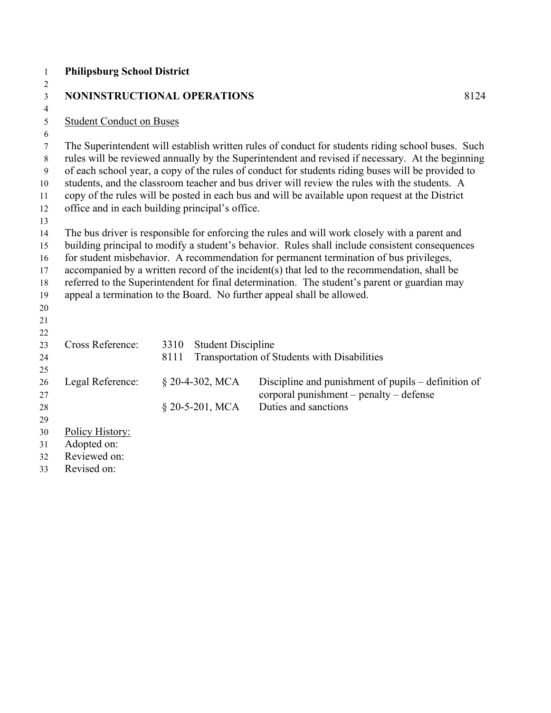| $\mathbf{1}$        | <b>Philipsburg School District</b>                                                                                                                                                              |      |                           |                                                                                                   |
|---------------------|-------------------------------------------------------------------------------------------------------------------------------------------------------------------------------------------------|------|---------------------------|---------------------------------------------------------------------------------------------------|
| $\overline{c}$      |                                                                                                                                                                                                 |      |                           |                                                                                                   |
| 3<br>$\overline{4}$ | NONINSTRUCTIONAL OPERATIONS                                                                                                                                                                     |      |                           | 8124                                                                                              |
| 5                   | <b>Student Conduct on Buses</b>                                                                                                                                                                 |      |                           |                                                                                                   |
| 6                   |                                                                                                                                                                                                 |      |                           |                                                                                                   |
| 7                   |                                                                                                                                                                                                 |      |                           | The Superintendent will establish written rules of conduct for students riding school buses. Such |
| 8                   |                                                                                                                                                                                                 |      |                           | rules will be reviewed annually by the Superintendent and revised if necessary. At the beginning  |
| $\mathbf{9}$        | of each school year, a copy of the rules of conduct for students riding buses will be provided to                                                                                               |      |                           |                                                                                                   |
| 10                  | students, and the classroom teacher and bus driver will review the rules with the students. A                                                                                                   |      |                           |                                                                                                   |
| 11                  |                                                                                                                                                                                                 |      |                           | copy of the rules will be posted in each bus and will be available upon request at the District   |
| 12                  | office and in each building principal's office.                                                                                                                                                 |      |                           |                                                                                                   |
| 13                  |                                                                                                                                                                                                 |      |                           |                                                                                                   |
| 14<br>15            | The bus driver is responsible for enforcing the rules and will work closely with a parent and<br>building principal to modify a student's behavior. Rules shall include consistent consequences |      |                           |                                                                                                   |
| 16                  |                                                                                                                                                                                                 |      |                           | for student misbehavior. A recommendation for permanent termination of bus privileges,            |
| 17                  |                                                                                                                                                                                                 |      |                           | accompanied by a written record of the incident(s) that led to the recommendation, shall be       |
| 18                  |                                                                                                                                                                                                 |      |                           | referred to the Superintendent for final determination. The student's parent or guardian may      |
| 19                  |                                                                                                                                                                                                 |      |                           | appeal a termination to the Board. No further appeal shall be allowed.                            |
| $20\,$              |                                                                                                                                                                                                 |      |                           |                                                                                                   |
| 21                  |                                                                                                                                                                                                 |      |                           |                                                                                                   |
| 22                  |                                                                                                                                                                                                 |      |                           |                                                                                                   |
| 23                  | Cross Reference:                                                                                                                                                                                | 3310 | <b>Student Discipline</b> |                                                                                                   |
| 24                  |                                                                                                                                                                                                 | 8111 |                           | Transportation of Students with Disabilities                                                      |
| 25<br>26            | Legal Reference:                                                                                                                                                                                |      | $$20-4-302, MCA$          | Discipline and punishment of pupils – definition of                                               |
| 27                  |                                                                                                                                                                                                 |      |                           | corporal punishment - penalty - defense                                                           |
| 28                  |                                                                                                                                                                                                 |      | § 20-5-201, MCA           | Duties and sanctions                                                                              |
| 29                  |                                                                                                                                                                                                 |      |                           |                                                                                                   |
| 30                  | Policy History:                                                                                                                                                                                 |      |                           |                                                                                                   |
| 31                  | Adopted on:                                                                                                                                                                                     |      |                           |                                                                                                   |
| 32                  | Reviewed on:                                                                                                                                                                                    |      |                           |                                                                                                   |
| 33                  | Revised on:                                                                                                                                                                                     |      |                           |                                                                                                   |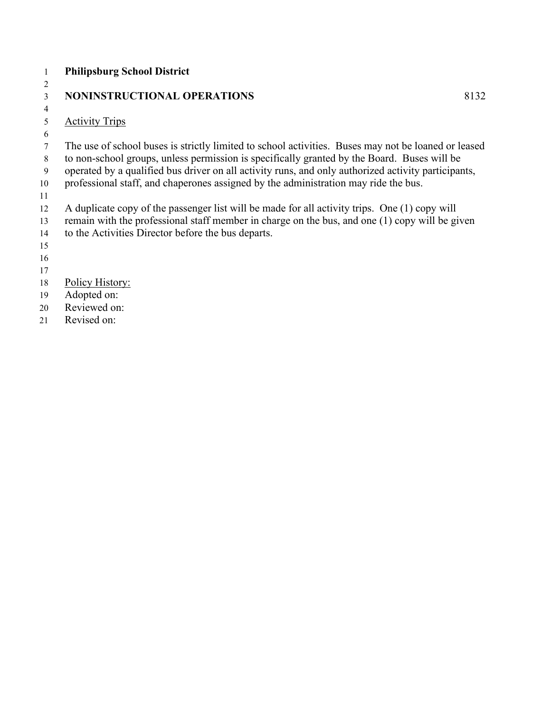## **Philipsburg School District**

 

## 3 NONINSTRUCTIONAL OPERATIONS 8132

#### Activity Trips

## The use of school buses is strictly limited to school activities. Buses may not be loaned or leased

- to non-school groups, unless permission is specifically granted by the Board. Buses will be
- operated by a qualified bus driver on all activity runs, and only authorized activity participants,
- professional staff, and chaperones assigned by the administration may ride the bus.
- 
- A duplicate copy of the passenger list will be made for all activity trips. One (1) copy will
- remain with the professional staff member in charge on the bus, and one (1) copy will be given to the Activities Director before the bus departs.
- 

- 
- Policy History:
- Adopted on:
- Reviewed on:
- Revised on: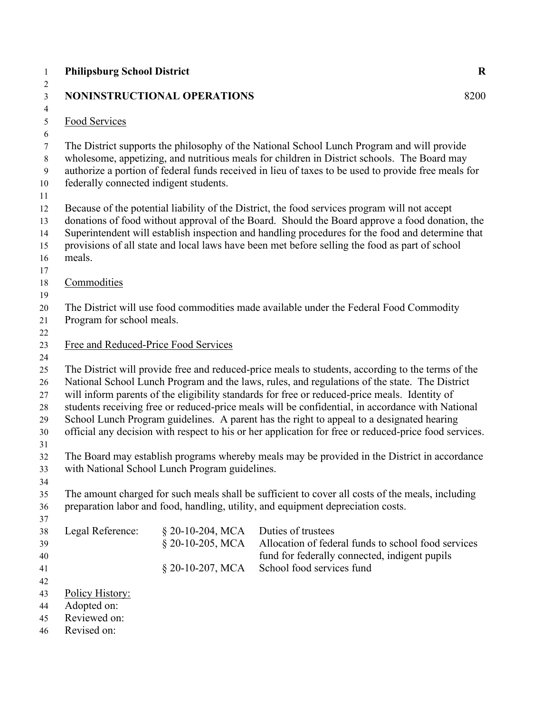| 1                                                | <b>Philipsburg School District</b>     |                                                |                                                                                                                                                                                                                                                                                                                                                                                                                                                                                                                                                                                                               | $\mathbf R$ |
|--------------------------------------------------|----------------------------------------|------------------------------------------------|---------------------------------------------------------------------------------------------------------------------------------------------------------------------------------------------------------------------------------------------------------------------------------------------------------------------------------------------------------------------------------------------------------------------------------------------------------------------------------------------------------------------------------------------------------------------------------------------------------------|-------------|
| 2<br>$\mathfrak{Z}$                              |                                        | NONINSTRUCTIONAL OPERATIONS                    |                                                                                                                                                                                                                                                                                                                                                                                                                                                                                                                                                                                                               | 8200        |
| $\overline{4}$<br>$\sqrt{5}$                     | Food Services                          |                                                |                                                                                                                                                                                                                                                                                                                                                                                                                                                                                                                                                                                                               |             |
| 6<br>$\tau$<br>8<br>$\boldsymbol{9}$<br>10<br>11 | federally connected indigent students. |                                                | The District supports the philosophy of the National School Lunch Program and will provide<br>wholesome, appetizing, and nutritious meals for children in District schools. The Board may<br>authorize a portion of federal funds received in lieu of taxes to be used to provide free meals for                                                                                                                                                                                                                                                                                                              |             |
| 12<br>13<br>14<br>15<br>16                       | meals.                                 |                                                | Because of the potential liability of the District, the food services program will not accept<br>donations of food without approval of the Board. Should the Board approve a food donation, the<br>Superintendent will establish inspection and handling procedures for the food and determine that<br>provisions of all state and local laws have been met before selling the food as part of school                                                                                                                                                                                                         |             |
| 17<br>18                                         | Commodities                            |                                                |                                                                                                                                                                                                                                                                                                                                                                                                                                                                                                                                                                                                               |             |
| 19<br>20<br>21                                   | Program for school meals.              |                                                | The District will use food commodities made available under the Federal Food Commodity                                                                                                                                                                                                                                                                                                                                                                                                                                                                                                                        |             |
| 22<br>23<br>24                                   | Free and Reduced-Price Food Services   |                                                |                                                                                                                                                                                                                                                                                                                                                                                                                                                                                                                                                                                                               |             |
| 25<br>26<br>27<br>28<br>29<br>30<br>31           |                                        |                                                | The District will provide free and reduced-price meals to students, according to the terms of the<br>National School Lunch Program and the laws, rules, and regulations of the state. The District<br>will inform parents of the eligibility standards for free or reduced-price meals. Identity of<br>students receiving free or reduced-price meals will be confidential, in accordance with National<br>School Lunch Program guidelines. A parent has the right to appeal to a designated hearing<br>official any decision with respect to his or her application for free or reduced-price food services. |             |
| 32<br>33<br>34                                   |                                        | with National School Lunch Program guidelines. | The Board may establish programs whereby meals may be provided in the District in accordance                                                                                                                                                                                                                                                                                                                                                                                                                                                                                                                  |             |
| 35<br>36<br>37                                   |                                        |                                                | The amount charged for such meals shall be sufficient to cover all costs of the meals, including<br>preparation labor and food, handling, utility, and equipment depreciation costs.                                                                                                                                                                                                                                                                                                                                                                                                                          |             |
| 38<br>39<br>40                                   | Legal Reference:                       | $§$ 20-10-204, MCA<br>§ 20-10-205, MCA         | Duties of trustees<br>Allocation of federal funds to school food services<br>fund for federally connected, indigent pupils                                                                                                                                                                                                                                                                                                                                                                                                                                                                                    |             |
| 41<br>42                                         |                                        | § 20-10-207, MCA                               | School food services fund                                                                                                                                                                                                                                                                                                                                                                                                                                                                                                                                                                                     |             |
| 43                                               | Policy History:                        |                                                |                                                                                                                                                                                                                                                                                                                                                                                                                                                                                                                                                                                                               |             |
| 44                                               | Adopted on:                            |                                                |                                                                                                                                                                                                                                                                                                                                                                                                                                                                                                                                                                                                               |             |
| 45                                               | Reviewed on:<br>Revised on:            |                                                |                                                                                                                                                                                                                                                                                                                                                                                                                                                                                                                                                                                                               |             |
| 46                                               |                                        |                                                |                                                                                                                                                                                                                                                                                                                                                                                                                                                                                                                                                                                                               |             |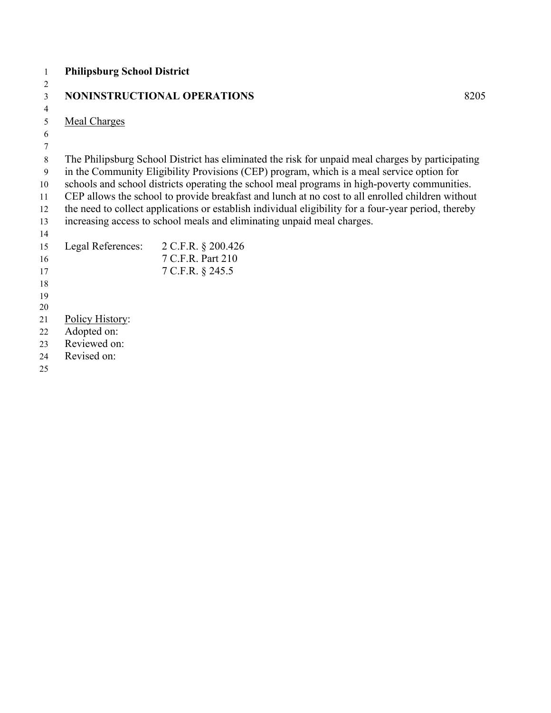| 1  | <b>Philipsburg School District</b> |                                                                                                      |      |
|----|------------------------------------|------------------------------------------------------------------------------------------------------|------|
| 2  |                                    |                                                                                                      |      |
| 3  |                                    | NONINSTRUCTIONAL OPERATIONS                                                                          | 8205 |
| 4  |                                    |                                                                                                      |      |
| 5  | <b>Meal Charges</b>                |                                                                                                      |      |
| 6  |                                    |                                                                                                      |      |
| 7  |                                    |                                                                                                      |      |
| 8  |                                    | The Philipsburg School District has eliminated the risk for unpaid meal charges by participating     |      |
| 9  |                                    | in the Community Eligibility Provisions (CEP) program, which is a meal service option for            |      |
| 10 |                                    | schools and school districts operating the school meal programs in high-poverty communities.         |      |
| 11 |                                    | CEP allows the school to provide breakfast and lunch at no cost to all enrolled children without     |      |
| 12 |                                    | the need to collect applications or establish individual eligibility for a four-year period, thereby |      |
| 13 |                                    | increasing access to school meals and eliminating unpaid meal charges.                               |      |
| 14 |                                    |                                                                                                      |      |
| 15 |                                    | Legal References: 2 C.F.R. § 200.426                                                                 |      |
| 16 |                                    | 7 C.F.R. Part 210                                                                                    |      |
| 17 |                                    | 7 C.F.R. § 245.5                                                                                     |      |
| 18 |                                    |                                                                                                      |      |
| 19 |                                    |                                                                                                      |      |
| 20 |                                    |                                                                                                      |      |
| 21 | Policy History:                    |                                                                                                      |      |
| 22 | Adopted on:                        |                                                                                                      |      |
| 23 | Reviewed on:                       |                                                                                                      |      |
| 24 | Revised on:                        |                                                                                                      |      |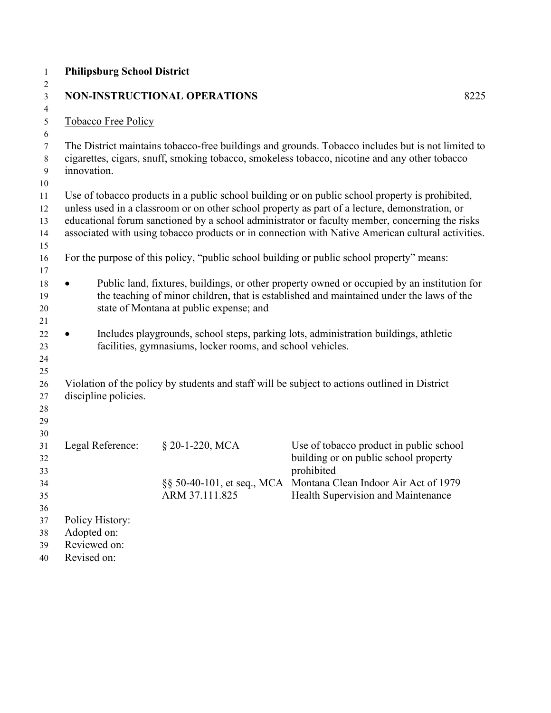| $\mathbf{1}$   | <b>Philipsburg School District</b> |                                                            |                                                                                                   |      |
|----------------|------------------------------------|------------------------------------------------------------|---------------------------------------------------------------------------------------------------|------|
| $\overline{c}$ |                                    |                                                            |                                                                                                   |      |
| 3              |                                    | <b>NON-INSTRUCTIONAL OPERATIONS</b>                        |                                                                                                   | 8225 |
| 4<br>5         | Tobacco Free Policy                |                                                            |                                                                                                   |      |
| 6              |                                    |                                                            |                                                                                                   |      |
| $\tau$         |                                    |                                                            | The District maintains tobacco-free buildings and grounds. Tobacco includes but is not limited to |      |
| $\,8\,$        |                                    |                                                            | cigarettes, cigars, snuff, smoking tobacco, smokeless tobacco, nicotine and any other tobacco     |      |
| 9              | innovation.                        |                                                            |                                                                                                   |      |
| 10             |                                    |                                                            |                                                                                                   |      |
| 11             |                                    |                                                            | Use of tobacco products in a public school building or on public school property is prohibited,   |      |
| 12             |                                    |                                                            | unless used in a classroom or on other school property as part of a lecture, demonstration, or    |      |
| 13             |                                    |                                                            | educational forum sanctioned by a school administrator or faculty member, concerning the risks    |      |
| 14             |                                    |                                                            | associated with using tobacco products or in connection with Native American cultural activities. |      |
| 15             |                                    |                                                            |                                                                                                   |      |
| 16             |                                    |                                                            | For the purpose of this policy, "public school building or public school property" means:         |      |
| 17             |                                    |                                                            |                                                                                                   |      |
| 18             |                                    |                                                            | Public land, fixtures, buildings, or other property owned or occupied by an institution for       |      |
| 19             |                                    |                                                            | the teaching of minor children, that is established and maintained under the laws of the          |      |
| 20             |                                    | state of Montana at public expense; and                    |                                                                                                   |      |
| 21             |                                    |                                                            |                                                                                                   |      |
| 22             |                                    |                                                            | Includes playgrounds, school steps, parking lots, administration buildings, athletic              |      |
| 23             |                                    | facilities, gymnasiums, locker rooms, and school vehicles. |                                                                                                   |      |
| 24             |                                    |                                                            |                                                                                                   |      |
| 25             |                                    |                                                            |                                                                                                   |      |
| 26             | discipline policies.               |                                                            | Violation of the policy by students and staff will be subject to actions outlined in District     |      |
| 27<br>28       |                                    |                                                            |                                                                                                   |      |
| 29             |                                    |                                                            |                                                                                                   |      |
| 30             |                                    |                                                            |                                                                                                   |      |
| 31             | Legal Reference:                   | § 20-1-220, MCA                                            | Use of tobacco product in public school                                                           |      |
| 32             |                                    |                                                            | building or on public school property                                                             |      |
| 33             |                                    |                                                            | prohibited                                                                                        |      |
| 34             |                                    |                                                            | §§ 50-40-101, et seq., MCA Montana Clean Indoor Air Act of 1979                                   |      |
| 35             |                                    | ARM 37.111.825                                             | Health Supervision and Maintenance                                                                |      |
| 36             |                                    |                                                            |                                                                                                   |      |
| 37             | Policy History:                    |                                                            |                                                                                                   |      |
| 38             | Adopted on:                        |                                                            |                                                                                                   |      |
| 39             | Reviewed on:                       |                                                            |                                                                                                   |      |
| 40             | Revised on:                        |                                                            |                                                                                                   |      |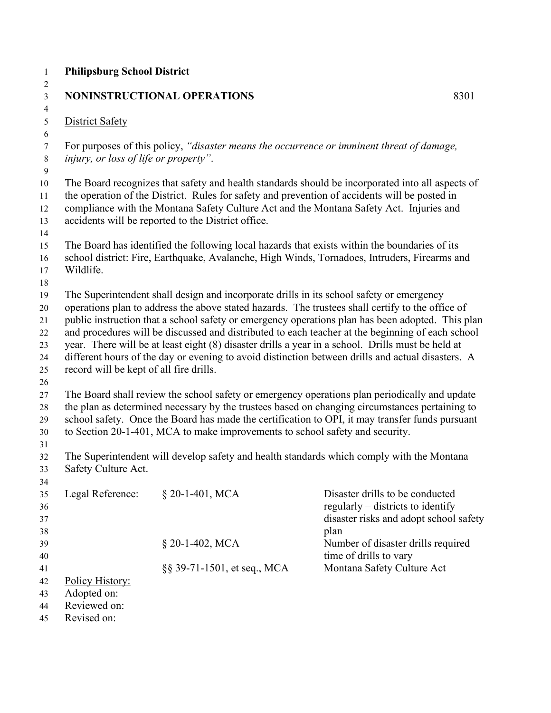#### **NONINSTRUCTIONAL OPERATIONS** 8301

District Safety

 For purposes of this policy, *"disaster means the occurrence or imminent threat of damage, injury, or loss of life or property"*.

 The Board recognizes that safety and health standards should be incorporated into all aspects of the operation of the District. Rules for safety and prevention of accidents will be posted in compliance with the Montana Safety Culture Act and the Montana Safety Act. Injuries and accidents will be reported to the District office.

The Board has identified the following local hazards that exists within the boundaries of its

 school district: Fire, Earthquake, Avalanche, High Winds, Tornadoes, Intruders, Firearms and Wildlife.

The Superintendent shall design and incorporate drills in its school safety or emergency

operations plan to address the above stated hazards. The trustees shall certify to the office of

 public instruction that a school safety or emergency operations plan has been adopted. This plan and procedures will be discussed and distributed to each teacher at the beginning of each school

year. There will be at least eight (8) disaster drills a year in a school. Drills must be held at

different hours of the day or evening to avoid distinction between drills and actual disasters. A

record will be kept of all fire drills.

 The Board shall review the school safety or emergency operations plan periodically and update the plan as determined necessary by the trustees based on changing circumstances pertaining to school safety. Once the Board has made the certification to OPI, it may transfer funds pursuant to Section 20-1-401, MCA to make improvements to school safety and security.

 The Superintendent will develop safety and health standards which comply with the Montana Safety Culture Act.

| 34 |                  |                             |                                        |
|----|------------------|-----------------------------|----------------------------------------|
| 35 | Legal Reference: | § 20-1-401, MCA             | Disaster drills to be conducted        |
| 36 |                  |                             | regularly $-$ districts to identify    |
| 37 |                  |                             | disaster risks and adopt school safety |
| 38 |                  |                             | plan                                   |
| 39 |                  | $$20-1-402$ , MCA           | Number of disaster drills required –   |
| 40 |                  |                             | time of drills to vary                 |
| 41 |                  | §§ 39-71-1501, et seq., MCA | Montana Safety Culture Act             |
| 42 | Policy History:  |                             |                                        |
| 43 | Adopted on:      |                             |                                        |
| 44 | Reviewed on:     |                             |                                        |

Revised on: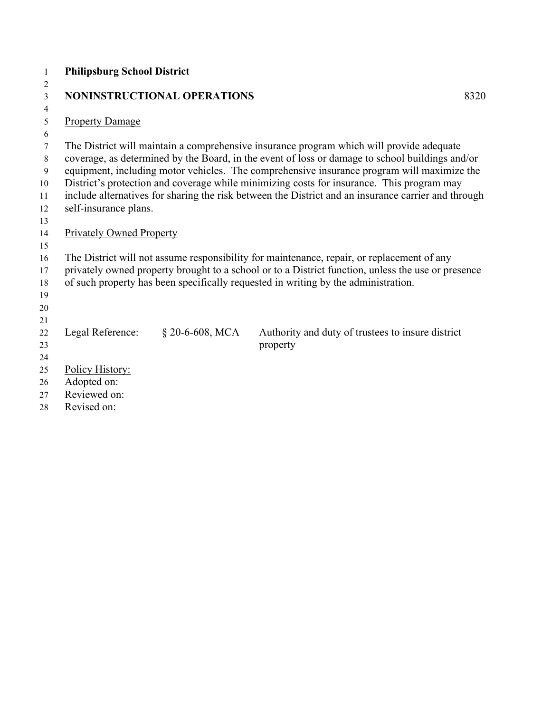| $\mathbf{1}$   | <b>Philipsburg School District</b>                                                                                                                                                       |      |
|----------------|------------------------------------------------------------------------------------------------------------------------------------------------------------------------------------------|------|
| $\overline{2}$ |                                                                                                                                                                                          |      |
| 3              | NONINSTRUCTIONAL OPERATIONS                                                                                                                                                              | 8320 |
| $\overline{4}$ |                                                                                                                                                                                          |      |
| 5              | <b>Property Damage</b>                                                                                                                                                                   |      |
| 6              |                                                                                                                                                                                          |      |
| 7              | The District will maintain a comprehensive insurance program which will provide adequate                                                                                                 |      |
| 8              | coverage, as determined by the Board, in the event of loss or damage to school buildings and/or                                                                                          |      |
| 9              | equipment, including motor vehicles. The comprehensive insurance program will maximize the                                                                                               |      |
| 10             | District's protection and coverage while minimizing costs for insurance. This program may                                                                                                |      |
| 11             | include alternatives for sharing the risk between the District and an insurance carrier and through                                                                                      |      |
| 12             | self-insurance plans.                                                                                                                                                                    |      |
| 13             |                                                                                                                                                                                          |      |
| 14             | <b>Privately Owned Property</b>                                                                                                                                                          |      |
| 15             |                                                                                                                                                                                          |      |
| 16             | The District will not assume responsibility for maintenance, repair, or replacement of any                                                                                               |      |
| 17<br>18       | privately owned property brought to a school or to a District function, unless the use or presence<br>of such property has been specifically requested in writing by the administration. |      |
| 19             |                                                                                                                                                                                          |      |
| 20             |                                                                                                                                                                                          |      |
| 21             |                                                                                                                                                                                          |      |
| 22             | Legal Reference:<br>$$20-6-608, MCA$<br>Authority and duty of trustees to insure district                                                                                                |      |
| 23             | property                                                                                                                                                                                 |      |
| 24             |                                                                                                                                                                                          |      |
| 25             | Policy History:                                                                                                                                                                          |      |
| 26             | Adopted on:                                                                                                                                                                              |      |
| 27             | Reviewed on:                                                                                                                                                                             |      |
| 28             | Revised on:                                                                                                                                                                              |      |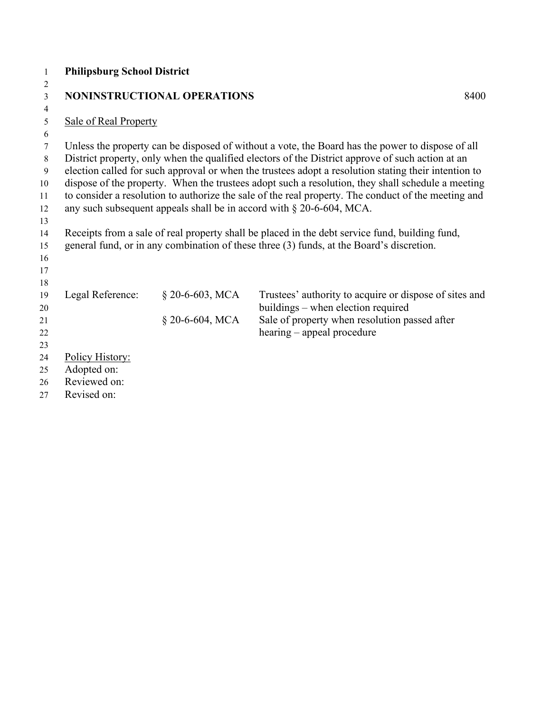| $\mathbf{1}$     | <b>Philipsburg School District</b>                                                                  |                             |                                                                                                      |  |
|------------------|-----------------------------------------------------------------------------------------------------|-----------------------------|------------------------------------------------------------------------------------------------------|--|
| $\overline{2}$   |                                                                                                     |                             |                                                                                                      |  |
| $\mathfrak{Z}$   |                                                                                                     | NONINSTRUCTIONAL OPERATIONS | 8400                                                                                                 |  |
| $\overline{4}$   |                                                                                                     |                             |                                                                                                      |  |
| $\sqrt{5}$       | <b>Sale of Real Property</b>                                                                        |                             |                                                                                                      |  |
| 6                |                                                                                                     |                             |                                                                                                      |  |
| $\boldsymbol{7}$ |                                                                                                     |                             | Unless the property can be disposed of without a vote, the Board has the power to dispose of all     |  |
| $\,8\,$          |                                                                                                     |                             | District property, only when the qualified electors of the District approve of such action at an     |  |
| 9                |                                                                                                     |                             | election called for such approval or when the trustees adopt a resolution stating their intention to |  |
| 10               |                                                                                                     |                             | dispose of the property. When the trustees adopt such a resolution, they shall schedule a meeting    |  |
| 11               | to consider a resolution to authorize the sale of the real property. The conduct of the meeting and |                             |                                                                                                      |  |
| 12               |                                                                                                     |                             | any such subsequent appeals shall be in accord with $\S 20-6-604$ , MCA.                             |  |
| 13               |                                                                                                     |                             |                                                                                                      |  |
| 14               |                                                                                                     |                             | Receipts from a sale of real property shall be placed in the debt service fund, building fund,       |  |
| 15               |                                                                                                     |                             | general fund, or in any combination of these three (3) funds, at the Board's discretion.             |  |
| 16               |                                                                                                     |                             |                                                                                                      |  |
| 17               |                                                                                                     |                             |                                                                                                      |  |
| 18               |                                                                                                     |                             |                                                                                                      |  |
| 19               | Legal Reference:                                                                                    | $$20-6-603, MCA$            | Trustees' authority to acquire or dispose of sites and                                               |  |
| 20               |                                                                                                     |                             | buildings – when election required                                                                   |  |
| 21               |                                                                                                     | $§$ 20-6-604, MCA           | Sale of property when resolution passed after                                                        |  |
| 22               |                                                                                                     |                             | hearing – appeal procedure                                                                           |  |
| 23               |                                                                                                     |                             |                                                                                                      |  |
| 24               | Policy History:                                                                                     |                             |                                                                                                      |  |
| 25               | Adopted on:<br>Reviewed on:                                                                         |                             |                                                                                                      |  |
| 26               |                                                                                                     |                             |                                                                                                      |  |
| 27               | Revised on:                                                                                         |                             |                                                                                                      |  |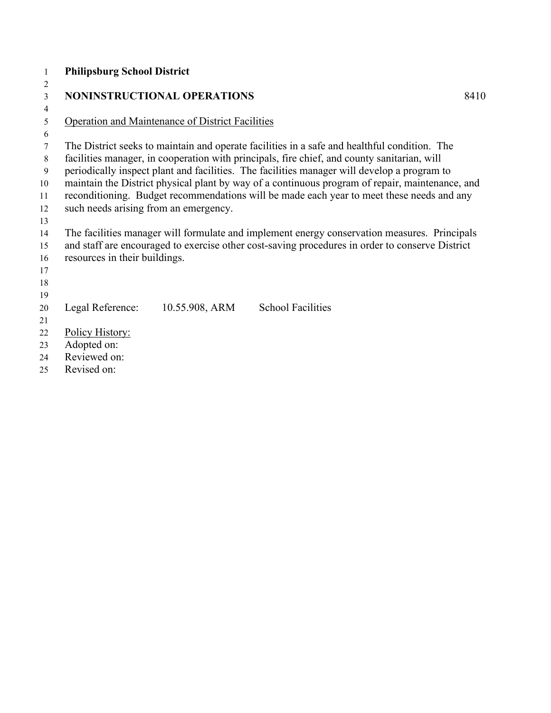| 1      | <b>Philipsburg School District</b>    |                                                         |                                                                                                 |      |
|--------|---------------------------------------|---------------------------------------------------------|-------------------------------------------------------------------------------------------------|------|
| 2      |                                       |                                                         |                                                                                                 |      |
| 3      |                                       | NONINSTRUCTIONAL OPERATIONS                             |                                                                                                 | 8410 |
| 4      |                                       |                                                         |                                                                                                 |      |
| 5      |                                       | <b>Operation and Maintenance of District Facilities</b> |                                                                                                 |      |
| 6      |                                       |                                                         |                                                                                                 |      |
| $\tau$ |                                       |                                                         | The District seeks to maintain and operate facilities in a safe and healthful condition. The    |      |
| 8      |                                       |                                                         | facilities manager, in cooperation with principals, fire chief, and county sanitarian, will     |      |
| 9      |                                       |                                                         | periodically inspect plant and facilities. The facilities manager will develop a program to     |      |
| 10     |                                       |                                                         | maintain the District physical plant by way of a continuous program of repair, maintenance, and |      |
| 11     |                                       |                                                         | reconditioning. Budget recommendations will be made each year to meet these needs and any       |      |
| 12     | such needs arising from an emergency. |                                                         |                                                                                                 |      |
| 13     |                                       |                                                         |                                                                                                 |      |
| 14     |                                       |                                                         | The facilities manager will formulate and implement energy conservation measures. Principals    |      |
| 15     |                                       |                                                         | and staff are encouraged to exercise other cost-saving procedures in order to conserve District |      |
| 16     | resources in their buildings.         |                                                         |                                                                                                 |      |
| 17     |                                       |                                                         |                                                                                                 |      |
| 18     |                                       |                                                         |                                                                                                 |      |
| 19     |                                       |                                                         |                                                                                                 |      |
| 20     | Legal Reference:                      | 10.55.908, ARM                                          | <b>School Facilities</b>                                                                        |      |
| 21     |                                       |                                                         |                                                                                                 |      |
| 22     | Policy History:                       |                                                         |                                                                                                 |      |
| 23     | Adopted on:                           |                                                         |                                                                                                 |      |
| 24     | Reviewed on:                          |                                                         |                                                                                                 |      |
| 25     | Revised on:                           |                                                         |                                                                                                 |      |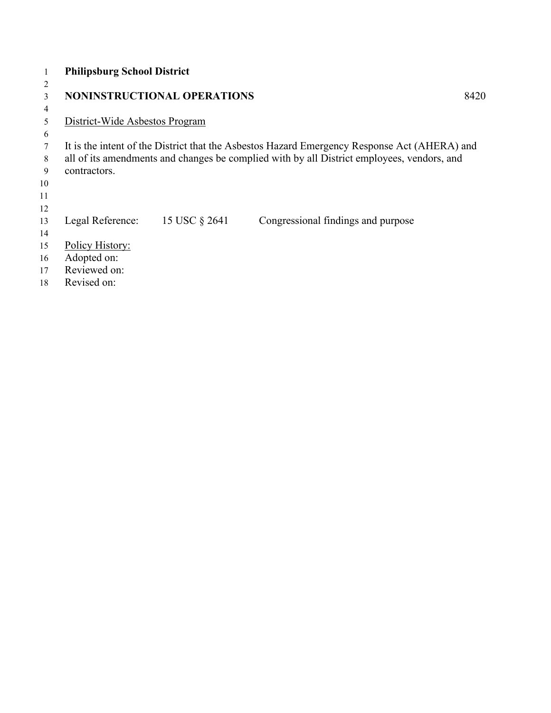|                | <b>Philipsburg School District</b> |                                    |                                                                                              |      |
|----------------|------------------------------------|------------------------------------|----------------------------------------------------------------------------------------------|------|
| $\overline{2}$ |                                    |                                    |                                                                                              |      |
| 3              |                                    | <b>NONINSTRUCTIONAL OPERATIONS</b> |                                                                                              | 8420 |
| 4              |                                    |                                    |                                                                                              |      |
| 5              | District-Wide Asbestos Program     |                                    |                                                                                              |      |
| 6              |                                    |                                    |                                                                                              |      |
|                |                                    |                                    | It is the intent of the District that the Asbestos Hazard Emergency Response Act (AHERA) and |      |
| 8              |                                    |                                    | all of its amendments and changes be complied with by all District employees, vendors, and   |      |
| 9              | contractors.                       |                                    |                                                                                              |      |
| 10             |                                    |                                    |                                                                                              |      |
| 11             |                                    |                                    |                                                                                              |      |
| 12             |                                    |                                    |                                                                                              |      |
| 13             | Legal Reference:                   | 15 USC § 2641                      | Congressional findings and purpose                                                           |      |
| 14             |                                    |                                    |                                                                                              |      |
| 15             | Policy History:                    |                                    |                                                                                              |      |
| 16             | Adopted on:                        |                                    |                                                                                              |      |
| 17             | Reviewed on:                       |                                    |                                                                                              |      |
| 18             | Revised on:                        |                                    |                                                                                              |      |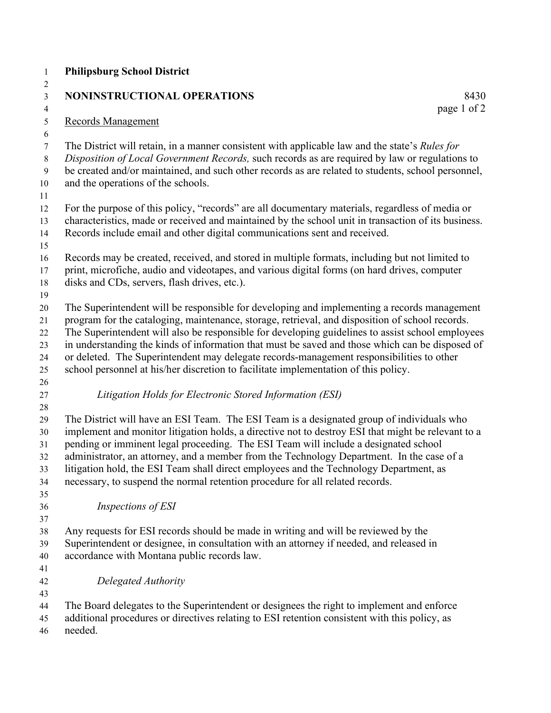| <b>Philipsburg School District</b>                                                                                                                                                                                                                                                                                                                                                                                                                                                                                                                                                       |
|------------------------------------------------------------------------------------------------------------------------------------------------------------------------------------------------------------------------------------------------------------------------------------------------------------------------------------------------------------------------------------------------------------------------------------------------------------------------------------------------------------------------------------------------------------------------------------------|
| NONINSTRUCTIONAL OPERATIONS<br>8430<br>page 1 of 2                                                                                                                                                                                                                                                                                                                                                                                                                                                                                                                                       |
| <b>Records Management</b>                                                                                                                                                                                                                                                                                                                                                                                                                                                                                                                                                                |
| The District will retain, in a manner consistent with applicable law and the state's Rules for<br>Disposition of Local Government Records, such records as are required by law or regulations to<br>be created and/or maintained, and such other records as are related to students, school personnel,<br>and the operations of the schools.                                                                                                                                                                                                                                             |
| For the purpose of this policy, "records" are all documentary materials, regardless of media or<br>characteristics, made or received and maintained by the school unit in transaction of its business.<br>Records include email and other digital communications sent and received.                                                                                                                                                                                                                                                                                                      |
| Records may be created, received, and stored in multiple formats, including but not limited to<br>print, microfiche, audio and videotapes, and various digital forms (on hard drives, computer<br>disks and CDs, servers, flash drives, etc.).                                                                                                                                                                                                                                                                                                                                           |
| The Superintendent will be responsible for developing and implementing a records management<br>program for the cataloging, maintenance, storage, retrieval, and disposition of school records.<br>The Superintendent will also be responsible for developing guidelines to assist school employees<br>in understanding the kinds of information that must be saved and those which can be disposed of<br>or deleted. The Superintendent may delegate records-management responsibilities to other<br>school personnel at his/her discretion to facilitate implementation of this policy. |
| Litigation Holds for Electronic Stored Information (ESI)                                                                                                                                                                                                                                                                                                                                                                                                                                                                                                                                 |
| The District will have an ESI Team. The ESI Team is a designated group of individuals who<br>implement and monitor litigation holds, a directive not to destroy ESI that might be relevant to a<br>pending or imminent legal proceeding. The ESI Team will include a designated school<br>administrator, an attorney, and a member from the Technology Department. In the case of a<br>litigation hold, the ESI Team shall direct employees and the Technology Department, as<br>necessary, to suspend the normal retention procedure for all related records.                           |
| Inspections of ESI                                                                                                                                                                                                                                                                                                                                                                                                                                                                                                                                                                       |
| Any requests for ESI records should be made in writing and will be reviewed by the<br>Superintendent or designee, in consultation with an attorney if needed, and released in<br>accordance with Montana public records law.                                                                                                                                                                                                                                                                                                                                                             |
| Delegated Authority                                                                                                                                                                                                                                                                                                                                                                                                                                                                                                                                                                      |
| The Board delegates to the Superintendent or designees the right to implement and enforce<br>additional procedures or directives relating to ESI retention consistent with this policy, as<br>needed.                                                                                                                                                                                                                                                                                                                                                                                    |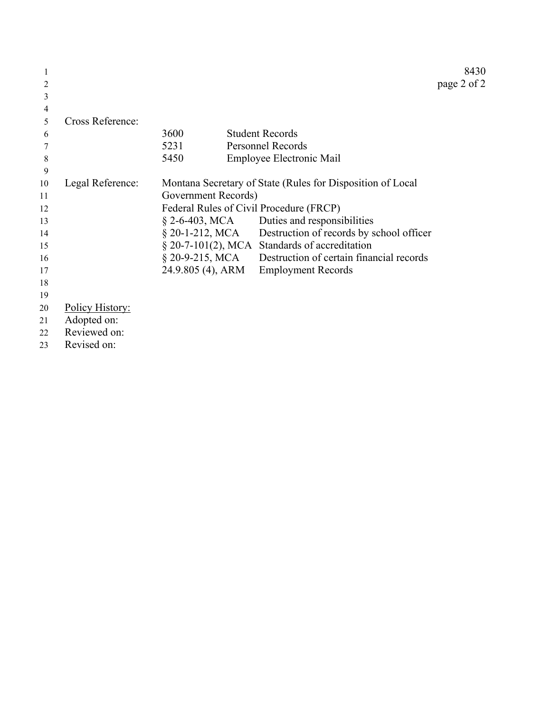|    |                  |                     |                                                            | 8430        |
|----|------------------|---------------------|------------------------------------------------------------|-------------|
| 2  |                  |                     |                                                            | page 2 of 2 |
| 3  |                  |                     |                                                            |             |
| 4  |                  |                     |                                                            |             |
| 5  | Cross Reference: |                     |                                                            |             |
| 6  |                  | 3600                | <b>Student Records</b>                                     |             |
| 7  |                  | 5231                | <b>Personnel Records</b>                                   |             |
| 8  |                  | 5450                | Employee Electronic Mail                                   |             |
| 9  |                  |                     |                                                            |             |
| 10 | Legal Reference: |                     | Montana Secretary of State (Rules for Disposition of Local |             |
| 11 |                  | Government Records) |                                                            |             |
| 12 |                  |                     | Federal Rules of Civil Procedure (FRCP)                    |             |
| 13 |                  |                     | $\S$ 2-6-403, MCA Duties and responsibilities              |             |
| 14 |                  |                     | § 20-1-212, MCA Destruction of records by school officer   |             |
| 15 |                  |                     | § 20-7-101(2), MCA Standards of accreditation              |             |
| 16 |                  | $\S 20-9-215$ , MCA | Destruction of certain financial records                   |             |
| 17 |                  | 24.9.805 (4), ARM   | <b>Employment Records</b>                                  |             |
| 18 |                  |                     |                                                            |             |
| 19 |                  |                     |                                                            |             |
| 20 | Policy History:  |                     |                                                            |             |
| 21 | Adopted on:      |                     |                                                            |             |
| 22 | Reviewed on:     |                     |                                                            |             |

Revised on: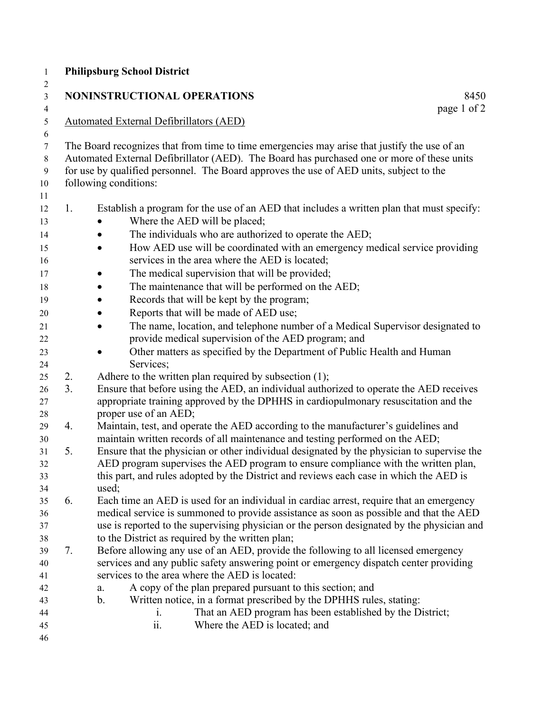| $\mathbf{1}$                     |    | <b>Philipsburg School District</b>                                                                                                                                                                                                                                                                             |
|----------------------------------|----|----------------------------------------------------------------------------------------------------------------------------------------------------------------------------------------------------------------------------------------------------------------------------------------------------------------|
| $\boldsymbol{2}$                 |    | <b>NONINSTRUCTIONAL OPERATIONS</b>                                                                                                                                                                                                                                                                             |
| $\mathfrak{Z}$<br>$\overline{4}$ |    | 8450<br>page 1 of 2                                                                                                                                                                                                                                                                                            |
| $\mathfrak s$<br>6               |    | <b>Automated External Defibrillators (AED)</b>                                                                                                                                                                                                                                                                 |
| $\tau$<br>$8\,$<br>9<br>$10\,$   |    | The Board recognizes that from time to time emergencies may arise that justify the use of an<br>Automated External Defibrillator (AED). The Board has purchased one or more of these units<br>for use by qualified personnel. The Board approves the use of AED units, subject to the<br>following conditions: |
| 11                               |    |                                                                                                                                                                                                                                                                                                                |
| 12                               | 1. | Establish a program for the use of an AED that includes a written plan that must specify:                                                                                                                                                                                                                      |
| 13                               |    | Where the AED will be placed;                                                                                                                                                                                                                                                                                  |
| 14                               |    | The individuals who are authorized to operate the AED;                                                                                                                                                                                                                                                         |
| 15<br>16                         |    | How AED use will be coordinated with an emergency medical service providing<br>$\bullet$<br>services in the area where the AED is located;                                                                                                                                                                     |
| 17                               |    | The medical supervision that will be provided;                                                                                                                                                                                                                                                                 |
| 18                               |    | The maintenance that will be performed on the AED;                                                                                                                                                                                                                                                             |
| 19                               |    | Records that will be kept by the program;                                                                                                                                                                                                                                                                      |
| $20\,$                           |    | Reports that will be made of AED use;                                                                                                                                                                                                                                                                          |
| 21                               |    | The name, location, and telephone number of a Medical Supervisor designated to<br>$\bullet$                                                                                                                                                                                                                    |
| 22                               |    | provide medical supervision of the AED program; and                                                                                                                                                                                                                                                            |
| 23                               |    | Other matters as specified by the Department of Public Health and Human<br>$\bullet$                                                                                                                                                                                                                           |
| 24                               |    | Services;                                                                                                                                                                                                                                                                                                      |
| 25                               | 2. | Adhere to the written plan required by subsection (1);                                                                                                                                                                                                                                                         |
| 26                               | 3. | Ensure that before using the AED, an individual authorized to operate the AED receives                                                                                                                                                                                                                         |
| 27                               |    | appropriate training approved by the DPHHS in cardiopulmonary resuscitation and the                                                                                                                                                                                                                            |
| 28                               |    | proper use of an AED;                                                                                                                                                                                                                                                                                          |
| 29                               | 4. | Maintain, test, and operate the AED according to the manufacturer's guidelines and                                                                                                                                                                                                                             |
| 30                               |    | maintain written records of all maintenance and testing performed on the AED;                                                                                                                                                                                                                                  |
| 31                               | 5. | Ensure that the physician or other individual designated by the physician to supervise the                                                                                                                                                                                                                     |
| 32                               |    | AED program supervises the AED program to ensure compliance with the written plan,                                                                                                                                                                                                                             |
| 33                               |    | this part, and rules adopted by the District and reviews each case in which the AED is                                                                                                                                                                                                                         |
| 34                               |    | used;                                                                                                                                                                                                                                                                                                          |
| 35                               | 6. | Each time an AED is used for an individual in cardiac arrest, require that an emergency                                                                                                                                                                                                                        |
| 36                               |    | medical service is summoned to provide assistance as soon as possible and that the AED                                                                                                                                                                                                                         |
| 37                               |    | use is reported to the supervising physician or the person designated by the physician and                                                                                                                                                                                                                     |
| 38                               |    | to the District as required by the written plan;                                                                                                                                                                                                                                                               |
| 39                               | 7. | Before allowing any use of an AED, provide the following to all licensed emergency                                                                                                                                                                                                                             |
| 40                               |    | services and any public safety answering point or emergency dispatch center providing                                                                                                                                                                                                                          |
| 41                               |    | services to the area where the AED is located:                                                                                                                                                                                                                                                                 |
| 42                               |    | A copy of the plan prepared pursuant to this section; and<br>a.                                                                                                                                                                                                                                                |
| 43                               |    | Written notice, in a format prescribed by the DPHHS rules, stating:<br>$\mathbf{b}$ .                                                                                                                                                                                                                          |
| 44<br>45                         |    | That an AED program has been established by the District;<br>i.<br>Where the AED is located; and<br>ii.                                                                                                                                                                                                        |
| 46                               |    |                                                                                                                                                                                                                                                                                                                |
|                                  |    |                                                                                                                                                                                                                                                                                                                |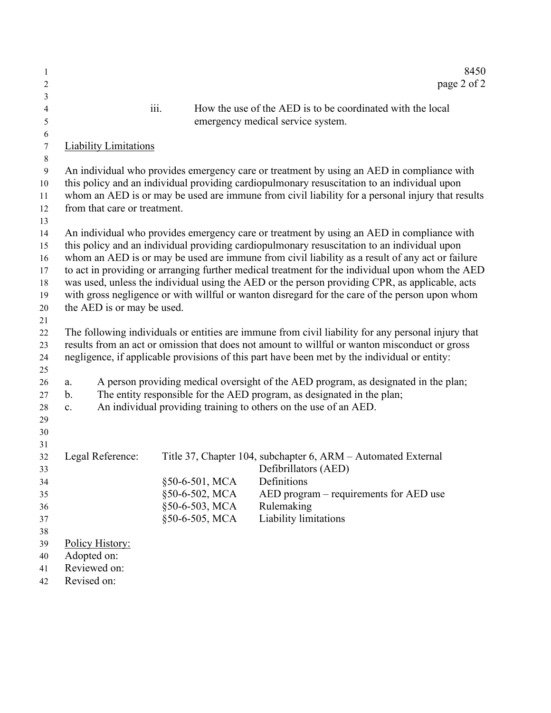| 1                |                              |      |                | 8450                                                                                               |
|------------------|------------------------------|------|----------------|----------------------------------------------------------------------------------------------------|
| 2                |                              |      |                | page 2 of 2                                                                                        |
| 3                |                              |      |                |                                                                                                    |
| 4                |                              | iii. |                | How the use of the AED is to be coordinated with the local                                         |
| 5<br>6           |                              |      |                | emergency medical service system.                                                                  |
| $\boldsymbol{7}$ | <b>Liability Limitations</b> |      |                |                                                                                                    |
| $\,8\,$          |                              |      |                |                                                                                                    |
| $\boldsymbol{9}$ |                              |      |                | An individual who provides emergency care or treatment by using an AED in compliance with          |
| 10               |                              |      |                | this policy and an individual providing cardiopulmonary resuscitation to an individual upon        |
| 11               |                              |      |                | whom an AED is or may be used are immune from civil liability for a personal injury that results   |
| 12               | from that care or treatment. |      |                |                                                                                                    |
| 13               |                              |      |                |                                                                                                    |
| 14               |                              |      |                | An individual who provides emergency care or treatment by using an AED in compliance with          |
| 15               |                              |      |                | this policy and an individual providing cardiopulmonary resuscitation to an individual upon        |
| 16               |                              |      |                | whom an AED is or may be used are immune from civil liability as a result of any act or failure    |
| 17               |                              |      |                | to act in providing or arranging further medical treatment for the individual upon whom the AED    |
| 18               |                              |      |                | was used, unless the individual using the AED or the person providing CPR, as applicable, acts     |
| 19               |                              |      |                | with gross negligence or with willful or wanton disregard for the care of the person upon whom     |
| 20               | the AED is or may be used.   |      |                |                                                                                                    |
| 21               |                              |      |                |                                                                                                    |
| 22               |                              |      |                | The following individuals or entities are immune from civil liability for any personal injury that |
| 23               |                              |      |                | results from an act or omission that does not amount to willful or wanton misconduct or gross      |
| 24               |                              |      |                | negligence, if applicable provisions of this part have been met by the individual or entity:       |
| 25               |                              |      |                |                                                                                                    |
| 26               | a.                           |      |                | A person providing medical oversight of the AED program, as designated in the plan;                |
| 27               | b.                           |      |                | The entity responsible for the AED program, as designated in the plan;                             |
| 28               | c.                           |      |                | An individual providing training to others on the use of an AED.                                   |
| 29               |                              |      |                |                                                                                                    |
| 30               |                              |      |                |                                                                                                    |
| 31               |                              |      |                |                                                                                                    |
| 32               | Legal Reference:             |      |                | Title 37, Chapter 104, subchapter 6, ARM - Automated External                                      |
| 33               |                              |      |                | Defibrillators (AED)                                                                               |
| 34               |                              |      | §50-6-501, MCA | Definitions                                                                                        |
| 35               |                              |      | §50-6-502, MCA | AED program – requirements for AED use                                                             |
| 36               |                              |      | §50-6-503, MCA | Rulemaking                                                                                         |
| 37               |                              |      | §50-6-505, MCA | Liability limitations                                                                              |
| 38               |                              |      |                |                                                                                                    |
| 39               | Policy History:              |      |                |                                                                                                    |
| 40               | Adopted on:<br>Reviewed on:  |      |                |                                                                                                    |
| 41<br>42         | Revised on:                  |      |                |                                                                                                    |
|                  |                              |      |                |                                                                                                    |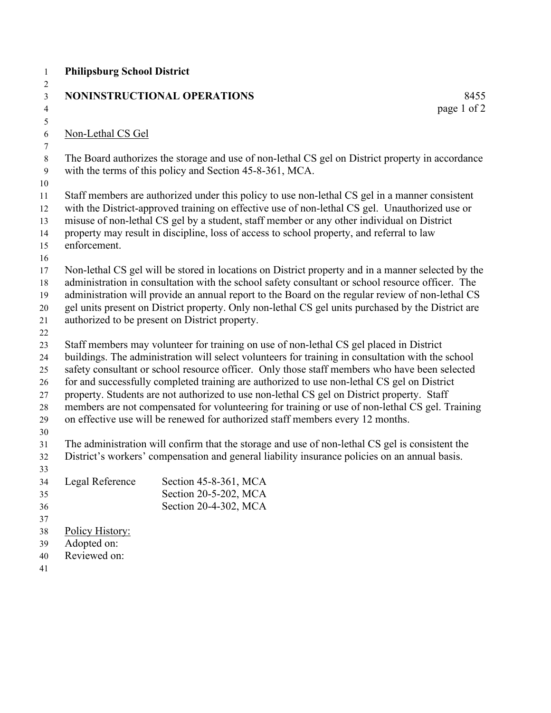| $\mathbf{1}$        | <b>Philipsburg School District</b> |                                                                                                                                                                                                      |             |
|---------------------|------------------------------------|------------------------------------------------------------------------------------------------------------------------------------------------------------------------------------------------------|-------------|
| $\overline{2}$      |                                    |                                                                                                                                                                                                      |             |
| $\mathfrak{Z}$      |                                    | NONINSTRUCTIONAL OPERATIONS                                                                                                                                                                          | 8455        |
| $\overline{4}$      |                                    |                                                                                                                                                                                                      | page 1 of 2 |
| $\mathfrak{S}$<br>6 | Non-Lethal CS Gel                  |                                                                                                                                                                                                      |             |
| $\tau$              |                                    |                                                                                                                                                                                                      |             |
| $\,8\,$             |                                    | The Board authorizes the storage and use of non-lethal CS gel on District property in accordance                                                                                                     |             |
| 9                   |                                    | with the terms of this policy and Section 45-8-361, MCA.                                                                                                                                             |             |
| 10                  |                                    |                                                                                                                                                                                                      |             |
| 11                  |                                    | Staff members are authorized under this policy to use non-lethal CS gel in a manner consistent                                                                                                       |             |
| 12                  |                                    | with the District-approved training on effective use of non-lethal CS gel. Unauthorized use or                                                                                                       |             |
| 13                  |                                    | misuse of non-lethal CS gel by a student, staff member or any other individual on District                                                                                                           |             |
| 14                  |                                    | property may result in discipline, loss of access to school property, and referral to law                                                                                                            |             |
| 15                  | enforcement.                       |                                                                                                                                                                                                      |             |
| 16                  |                                    |                                                                                                                                                                                                      |             |
| 17                  |                                    | Non-lethal CS gel will be stored in locations on District property and in a manner selected by the                                                                                                   |             |
| 18                  |                                    | administration in consultation with the school safety consultant or school resource officer. The<br>administration will provide an annual report to the Board on the regular review of non-lethal CS |             |
| 19<br>20            |                                    | gel units present on District property. Only non-lethal CS gel units purchased by the District are                                                                                                   |             |
| 21                  |                                    | authorized to be present on District property.                                                                                                                                                       |             |
| 22                  |                                    |                                                                                                                                                                                                      |             |
| 23                  |                                    | Staff members may volunteer for training on use of non-lethal CS gel placed in District                                                                                                              |             |
| 24                  |                                    | buildings. The administration will select volunteers for training in consultation with the school                                                                                                    |             |
| 25                  |                                    | safety consultant or school resource officer. Only those staff members who have been selected                                                                                                        |             |
| 26                  |                                    | for and successfully completed training are authorized to use non-lethal CS gel on District                                                                                                          |             |
| 27                  |                                    | property. Students are not authorized to use non-lethal CS gel on District property. Staff                                                                                                           |             |
| 28                  |                                    | members are not compensated for volunteering for training or use of non-lethal CS gel. Training                                                                                                      |             |
| 29                  |                                    | on effective use will be renewed for authorized staff members every 12 months.                                                                                                                       |             |
| 30                  |                                    |                                                                                                                                                                                                      |             |
| 31                  |                                    | The administration will confirm that the storage and use of non-lethal CS gel is consistent the                                                                                                      |             |
| 32<br>33            |                                    | District's workers' compensation and general liability insurance policies on an annual basis.                                                                                                        |             |
| 34                  | Legal Reference                    | Section 45-8-361, MCA                                                                                                                                                                                |             |
| 35                  |                                    | Section 20-5-202, MCA                                                                                                                                                                                |             |
| 36                  |                                    | Section 20-4-302, MCA                                                                                                                                                                                |             |
| 37                  |                                    |                                                                                                                                                                                                      |             |
| 38                  | Policy History:                    |                                                                                                                                                                                                      |             |
| 39                  | Adopted on:                        |                                                                                                                                                                                                      |             |
| 40                  | Reviewed on:                       |                                                                                                                                                                                                      |             |
| 41                  |                                    |                                                                                                                                                                                                      |             |
|                     |                                    |                                                                                                                                                                                                      |             |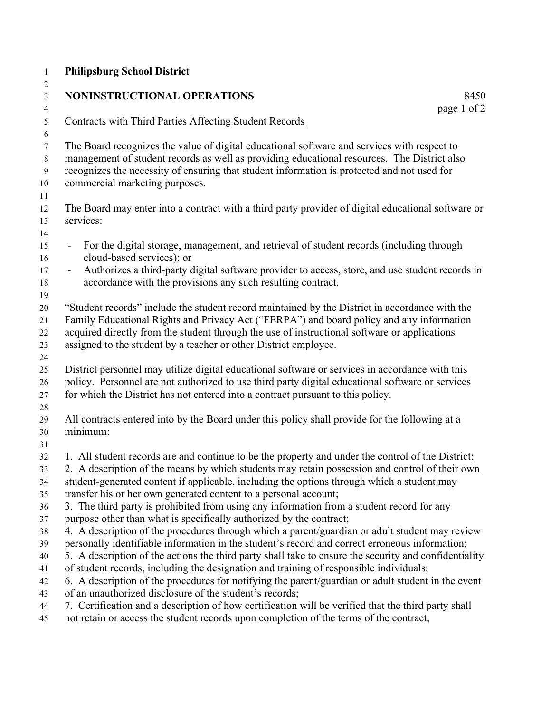| <b>Philipsburg School District</b>                                                                                                                                                                                                                                                                                                                                                                                                                                                                                                                                                                                                                                                                                                                                                                                                                                                                                                                                                                                                                                                                                |                     |
|-------------------------------------------------------------------------------------------------------------------------------------------------------------------------------------------------------------------------------------------------------------------------------------------------------------------------------------------------------------------------------------------------------------------------------------------------------------------------------------------------------------------------------------------------------------------------------------------------------------------------------------------------------------------------------------------------------------------------------------------------------------------------------------------------------------------------------------------------------------------------------------------------------------------------------------------------------------------------------------------------------------------------------------------------------------------------------------------------------------------|---------------------|
| NONINSTRUCTIONAL OPERATIONS                                                                                                                                                                                                                                                                                                                                                                                                                                                                                                                                                                                                                                                                                                                                                                                                                                                                                                                                                                                                                                                                                       | 8450<br>page 1 of 2 |
| <b>Contracts with Third Parties Affecting Student Records</b>                                                                                                                                                                                                                                                                                                                                                                                                                                                                                                                                                                                                                                                                                                                                                                                                                                                                                                                                                                                                                                                     |                     |
| The Board recognizes the value of digital educational software and services with respect to<br>management of student records as well as providing educational resources. The District also<br>recognizes the necessity of ensuring that student information is protected and not used for<br>commercial marketing purposes.                                                                                                                                                                                                                                                                                                                                                                                                                                                                                                                                                                                                                                                                                                                                                                                       |                     |
| The Board may enter into a contract with a third party provider of digital educational software or<br>services:                                                                                                                                                                                                                                                                                                                                                                                                                                                                                                                                                                                                                                                                                                                                                                                                                                                                                                                                                                                                   |                     |
| For the digital storage, management, and retrieval of student records (including through<br>cloud-based services); or                                                                                                                                                                                                                                                                                                                                                                                                                                                                                                                                                                                                                                                                                                                                                                                                                                                                                                                                                                                             |                     |
| Authorizes a third-party digital software provider to access, store, and use student records in<br>$\blacksquare$<br>accordance with the provisions any such resulting contract.                                                                                                                                                                                                                                                                                                                                                                                                                                                                                                                                                                                                                                                                                                                                                                                                                                                                                                                                  |                     |
| "Student records" include the student record maintained by the District in accordance with the<br>Family Educational Rights and Privacy Act ("FERPA") and board policy and any information<br>acquired directly from the student through the use of instructional software or applications<br>assigned to the student by a teacher or other District employee.                                                                                                                                                                                                                                                                                                                                                                                                                                                                                                                                                                                                                                                                                                                                                    |                     |
| District personnel may utilize digital educational software or services in accordance with this<br>policy. Personnel are not authorized to use third party digital educational software or services<br>for which the District has not entered into a contract pursuant to this policy.                                                                                                                                                                                                                                                                                                                                                                                                                                                                                                                                                                                                                                                                                                                                                                                                                            |                     |
| All contracts entered into by the Board under this policy shall provide for the following at a<br>minimum:                                                                                                                                                                                                                                                                                                                                                                                                                                                                                                                                                                                                                                                                                                                                                                                                                                                                                                                                                                                                        |                     |
| 1. All student records are and continue to be the property and under the control of the District;<br>2. A description of the means by which students may retain possession and control of their own<br>student-generated content if applicable, including the options through which a student may<br>transfer his or her own generated content to a personal account;<br>3. The third party is prohibited from using any information from a student record for any<br>purpose other than what is specifically authorized by the contract;<br>4. A description of the procedures through which a parent/guardian or adult student may review<br>personally identifiable information in the student's record and correct erroneous information;<br>5. A description of the actions the third party shall take to ensure the security and confidentiality<br>of student records, including the designation and training of responsible individuals;<br>6. A description of the procedures for notifying the parent/guardian or adult student in the event<br>of an unauthorized disclosure of the student's records; |                     |
| 7. Certification and a description of how certification will be verified that the third party shall<br>not retain or access the student records upon completion of the terms of the contract;                                                                                                                                                                                                                                                                                                                                                                                                                                                                                                                                                                                                                                                                                                                                                                                                                                                                                                                     |                     |